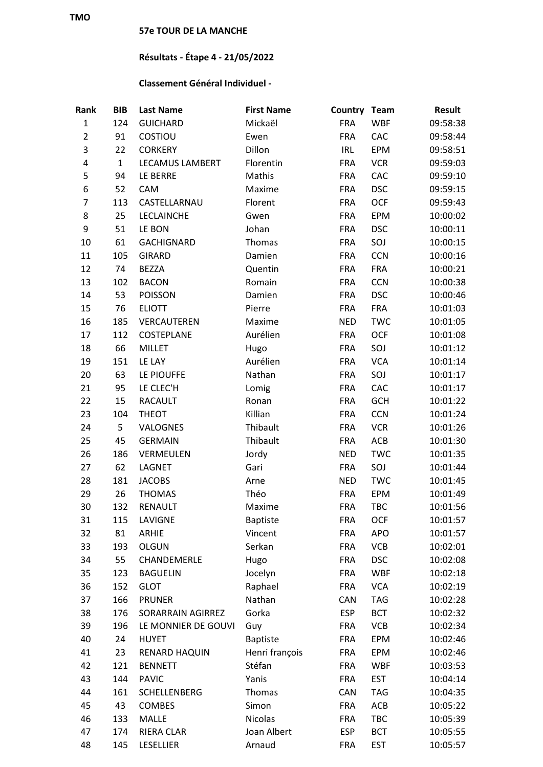## **57e TOUR DE LA MANCHE**

## **Résultats - Étape 4 - 21/05/2022**

## **Classement Général Individuel -**

| Rank           | <b>BIB</b>   | <b>Last Name</b>       | <b>First Name</b> | Country Team |            | <b>Result</b> |
|----------------|--------------|------------------------|-------------------|--------------|------------|---------------|
| $\mathbf 1$    | 124          | <b>GUICHARD</b>        | Mickaël           | <b>FRA</b>   | <b>WBF</b> | 09:58:38      |
| $\overline{2}$ | 91           | COSTIOU                | Ewen              | <b>FRA</b>   | CAC        | 09:58:44      |
| 3              | 22           | <b>CORKERY</b>         | Dillon            | IRL          | EPM        | 09:58:51      |
| 4              | $\mathbf{1}$ | <b>LECAMUS LAMBERT</b> | Florentin         | <b>FRA</b>   | <b>VCR</b> | 09:59:03      |
| 5              | 94           | LE BERRE               | Mathis            | <b>FRA</b>   | CAC        | 09:59:10      |
| 6              | 52           | CAM                    | Maxime            | <b>FRA</b>   | <b>DSC</b> | 09:59:15      |
| 7              | 113          | CASTELLARNAU           | Florent           | <b>FRA</b>   | <b>OCF</b> | 09:59:43      |
| 8              | 25           | LECLAINCHE             | Gwen              | <b>FRA</b>   | EPM        | 10:00:02      |
| 9              | 51           | LE BON                 | Johan             | <b>FRA</b>   | <b>DSC</b> | 10:00:11      |
| 10             | 61           | <b>GACHIGNARD</b>      | Thomas            | <b>FRA</b>   | SOJ        | 10:00:15      |
| 11             | 105          | <b>GIRARD</b>          | Damien            | <b>FRA</b>   | <b>CCN</b> | 10:00:16      |
| 12             | 74           | <b>BEZZA</b>           | Quentin           | <b>FRA</b>   | <b>FRA</b> | 10:00:21      |
| 13             | 102          | <b>BACON</b>           | Romain            | <b>FRA</b>   | <b>CCN</b> | 10:00:38      |
| 14             | 53           | <b>POISSON</b>         | Damien            | <b>FRA</b>   | <b>DSC</b> | 10:00:46      |
| 15             | 76           | <b>ELIOTT</b>          | Pierre            | <b>FRA</b>   | <b>FRA</b> | 10:01:03      |
| 16             | 185          | VERCAUTEREN            | Maxime            | <b>NED</b>   | <b>TWC</b> | 10:01:05      |
| 17             | 112          | COSTEPLANE             | Aurélien          | <b>FRA</b>   | <b>OCF</b> | 10:01:08      |
| 18             | 66           | <b>MILLET</b>          | Hugo              | <b>FRA</b>   | SOJ        | 10:01:12      |
| 19             | 151          | LE LAY                 | Aurélien          | <b>FRA</b>   | <b>VCA</b> | 10:01:14      |
| 20             | 63           | LE PIOUFFE             | Nathan            | <b>FRA</b>   | SOJ        | 10:01:17      |
| 21             | 95           | LE CLEC'H              | Lomig             | <b>FRA</b>   | CAC        | 10:01:17      |
| 22             | 15           | <b>RACAULT</b>         | Ronan             | <b>FRA</b>   | <b>GCH</b> | 10:01:22      |
| 23             | 104          | <b>THEOT</b>           | Killian           | <b>FRA</b>   | <b>CCN</b> | 10:01:24      |
| 24             | 5            | <b>VALOGNES</b>        | Thibault          | <b>FRA</b>   | <b>VCR</b> | 10:01:26      |
| 25             | 45           | <b>GERMAIN</b>         | Thibault          | <b>FRA</b>   | ACB        | 10:01:30      |
| 26             | 186          | VERMEULEN              | Jordy             | <b>NED</b>   | <b>TWC</b> | 10:01:35      |
| 27             | 62           | LAGNET                 | Gari              | <b>FRA</b>   | SOJ        | 10:01:44      |
| 28             | 181          | <b>JACOBS</b>          | Arne              | <b>NED</b>   | <b>TWC</b> | 10:01:45      |
| 29             | 26           | <b>THOMAS</b>          | Théo              | <b>FRA</b>   | EPM        | 10:01:49      |
| 30             | 132          | <b>RENAULT</b>         | Maxime            | <b>FRA</b>   | TBC        | 10:01:56      |
| 31             | 115          | LAVIGNE                | <b>Baptiste</b>   | FRA          | <b>OCF</b> | 10:01:57      |
| 32             | 81           | <b>ARHIE</b>           | Vincent           | <b>FRA</b>   | <b>APO</b> | 10:01:57      |
| 33             | 193          | <b>OLGUN</b>           | Serkan            | <b>FRA</b>   | <b>VCB</b> | 10:02:01      |
| 34             | 55           | CHANDEMERLE            | Hugo              | <b>FRA</b>   | <b>DSC</b> | 10:02:08      |
| 35             | 123          | <b>BAGUELIN</b>        | Jocelyn           | <b>FRA</b>   | <b>WBF</b> | 10:02:18      |
| 36             | 152          | <b>GLOT</b>            | Raphael           | <b>FRA</b>   | <b>VCA</b> | 10:02:19      |
| 37             | 166          | <b>PRUNER</b>          | Nathan            | <b>CAN</b>   | <b>TAG</b> | 10:02:28      |
| 38             | 176          | SORARRAIN AGIRREZ      | Gorka             | <b>ESP</b>   | <b>BCT</b> | 10:02:32      |
| 39             | 196          | LE MONNIER DE GOUVI    | Guy               | <b>FRA</b>   | <b>VCB</b> | 10:02:34      |
| 40             | 24           | <b>HUYET</b>           | <b>Baptiste</b>   | <b>FRA</b>   | EPM        | 10:02:46      |
| 41             | 23           | RENARD HAQUIN          | Henri françois    | <b>FRA</b>   | EPM        | 10:02:46      |
| 42             | 121          | <b>BENNETT</b>         | Stéfan            | <b>FRA</b>   | <b>WBF</b> | 10:03:53      |
| 43             | 144          | <b>PAVIC</b>           | Yanis             | <b>FRA</b>   | <b>EST</b> | 10:04:14      |
| 44             | 161          | SCHELLENBERG           | Thomas            | CAN          | <b>TAG</b> | 10:04:35      |
| 45             | 43           | <b>COMBES</b>          | Simon             | <b>FRA</b>   | ACB        | 10:05:22      |
| 46             | 133          | <b>MALLE</b>           | Nicolas           | <b>FRA</b>   | TBC        | 10:05:39      |
| 47             | 174          | RIERA CLAR             | Joan Albert       | <b>ESP</b>   | <b>BCT</b> | 10:05:55      |
| 48             | 145          | LESELLIER              | Arnaud            | <b>FRA</b>   | <b>EST</b> | 10:05:57      |